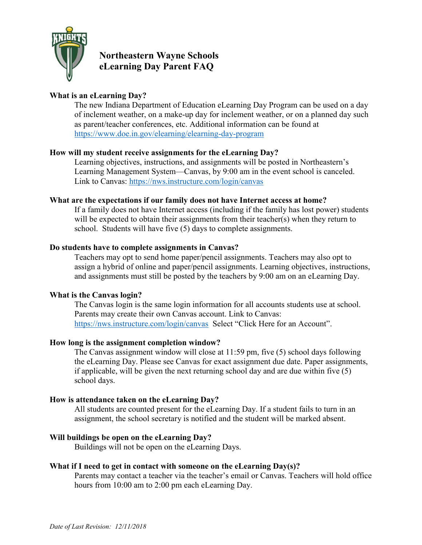

## **Northeastern Wayne Schools eLearning Day Parent FAQ**

## **What is an eLearning Day?**

The new Indiana Department of Education eLearning Day Program can be used on a day of inclement weather, on a make-up day for inclement weather, or on a planned day such as parent/teacher conferences, etc. Additional information can be found at <https://www.doe.in.gov/elearning/elearning-day-program>

### **How will my student receive assignments for the eLearning Day?**

Learning objectives, instructions, and assignments will be posted in Northeastern's Learning Management System—Canvas, by 9:00 am in the event school is canceled. Link to Canvas:<https://nws.instructure.com/login/canvas>

#### **What are the expectations if our family does not have Internet access at home?**

If a family does not have Internet access (including if the family has lost power) students will be expected to obtain their assignments from their teacher(s) when they return to school. Students will have five (5) days to complete assignments.

#### **Do students have to complete assignments in Canvas?**

Teachers may opt to send home paper/pencil assignments. Teachers may also opt to assign a hybrid of online and paper/pencil assignments. Learning objectives, instructions, and assignments must still be posted by the teachers by 9:00 am on an eLearning Day.

### **What is the Canvas login?**

The Canvas login is the same login information for all accounts students use at school. Parents may create their own Canvas account. Link to Canvas: <https://nws.instructure.com/login/canvas> Select "Click Here for an Account".

### **How long is the assignment completion window?**

The Canvas assignment window will close at 11:59 pm, five (5) school days following the eLearning Day. Please see Canvas for exact assignment due date. Paper assignments, if applicable, will be given the next returning school day and are due within five (5) school days.

#### **How is attendance taken on the eLearning Day?**

All students are counted present for the eLearning Day. If a student fails to turn in an assignment, the school secretary is notified and the student will be marked absent.

### **Will buildings be open on the eLearning Day?**

Buildings will not be open on the eLearning Days.

#### **What if I need to get in contact with someone on the eLearning Day(s)?**

Parents may contact a teacher via the teacher's email or Canvas. Teachers will hold office hours from 10:00 am to 2:00 pm each eLearning Day.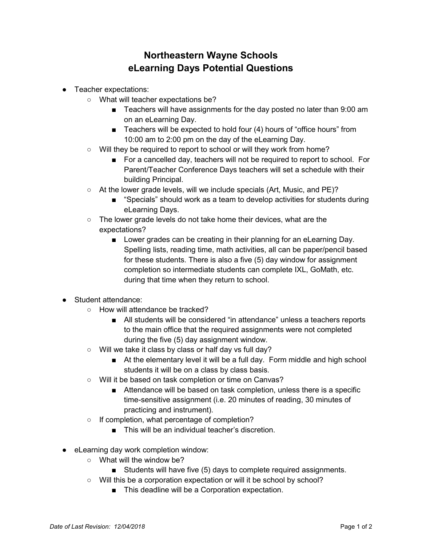# **Northeastern Wayne Schools eLearning Days Potential Questions**

- Teacher expectations:
	- What will teacher expectations be?
		- Teachers will have assignments for the day posted no later than 9:00 am on an eLearning Day.
		- Teachers will be expected to hold four (4) hours of "office hours" from 10:00 am to 2:00 pm on the day of the eLearning Day.
	- Will they be required to report to school or will they work from home?
		- For a cancelled day, teachers will not be required to report to school. For Parent/Teacher Conference Days teachers will set a schedule with their building Principal.
	- At the lower grade levels, will we include specials (Art, Music, and PE)?
		- "Specials" should work as a team to develop activities for students during eLearning Days.
	- The lower grade levels do not take home their devices, what are the expectations?
		- Lower grades can be creating in their planning for an eLearning Day. Spelling lists, reading time, math activities, all can be paper/pencil based for these students. There is also a five (5) day window for assignment completion so intermediate students can complete IXL, GoMath, etc. during that time when they return to school.
- Student attendance:
	- How will attendance be tracked?
		- All students will be considered "in attendance" unless a teachers reports to the main office that the required assignments were not completed during the five (5) day assignment window.
	- Will we take it class by class or half day vs full day?
		- At the elementary level it will be a full day. Form middle and high school students it will be on a class by class basis.
	- Will it be based on task completion or time on Canvas?
		- Attendance will be based on task completion, unless there is a specific time-sensitive assignment (i.e. 20 minutes of reading, 30 minutes of practicing and instrument).
	- If completion, what percentage of completion?
		- This will be an individual teacher's discretion.
- eLearning day work completion window:
	- $\circ$  What will the window be?
		- Students will have five (5) days to complete required assignments.
	- Will this be a corporation expectation or will it be school by school?
		- This deadline will be a Corporation expectation.